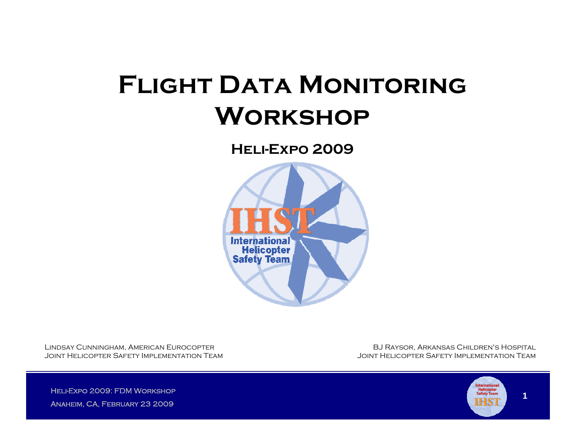# **FLIGHT DATA MONITORING Workshop**

**Heli-Expo 2009**



Lindsay Cunningham, American Eurocopter Joint Helicopter Safety Implementation Team

BJ Raysor, Arkansas Children's Hospital Joint Helicopter Safety Implementation Team

HELI-EXPO 2009: FDM WORKSHOP Anaheim, CA, February 23 2009

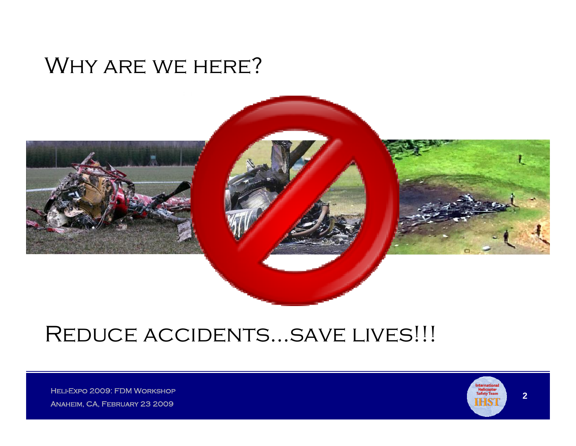### Why are we here?



## REDUCE ACCIDENTS...SAVE LIVES!!!

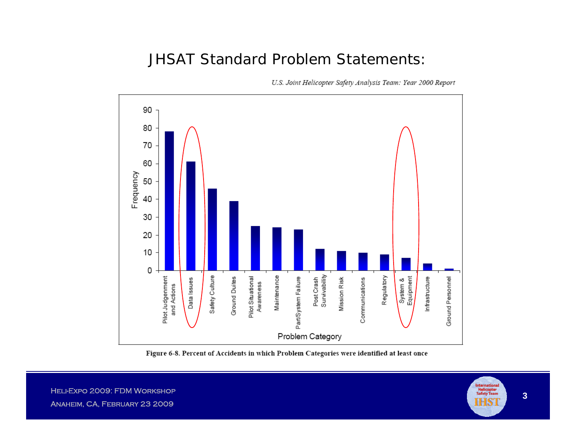#### JHSAT Standard Problem Statements:



U.S. Joint Helicopter Safety Analysis Team: Year 2000 Report

Figure 6-8. Percent of Accidents in which Problem Categories were identified at least once

MELI-EXPO 2009: FDM WORKSHOP (NEWSPAPER) AND THE CONTRACT OF THE CONTRACT OF THE CONTRACT OF THE CONTRACT OF THE CONTRACT OF THE CONTRACT OF THE CONTRACT OF THE CONTRACT OF THE CONTRACT OF THE CONTRACT OF THE CONTRACT OF T Anaheim, CA, February 23 2009

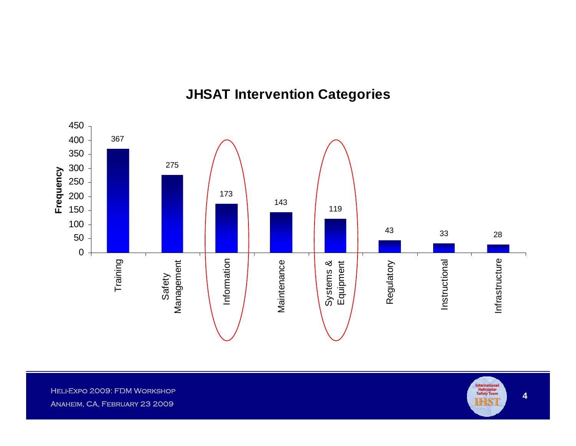#### **JHSAT Intervention Categories**



MELI-EXPO 2009: FDM WORKSHOP (NEWSPAPER) AND THE CONTRACT OF THE CONTRACT OF THE CONTRACT OF THE CONTRACT OF THE CONTRACT OF THE CONTRACT OF THE CONTRACT OF THE CONTRACT OF THE CONTRACT OF THE CONTRACT OF THE CONTRACT OF T Anaheim, CA, February 23 2009

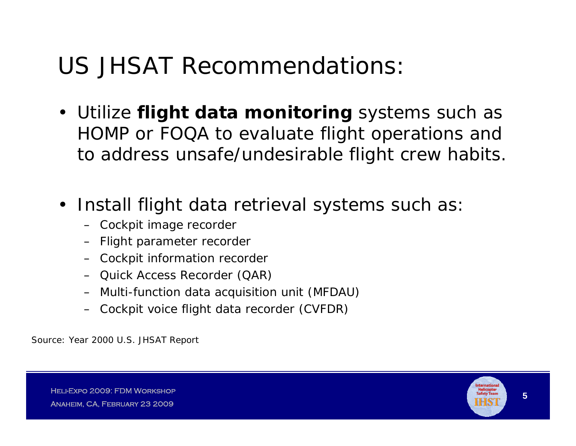## US JHSAT Recommendations:

- Utilize **flight data monitoring** systems such as HOMP or FOQA to evaluate flight operations and to address unsafe/undesirable flight crew habits.
- Install flight data retrieval systems such as
	- Cockpit image recorder
	- Flight parameter recorder
	- Cockpit information recorder
	- Quick Access Recorder (QAR)
	- Multi-function data acquisition unit (MFDAU)
	- Cockpit voice flight data recorder (CVFDR)

Source: Year 2000 U.S. JHSAT Report

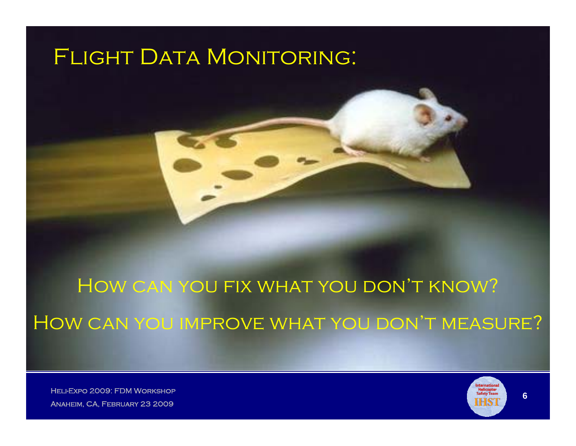## FLIGHT DATA MONITORING:

How can you fix what you don't know? How can you improve what you don't measure?